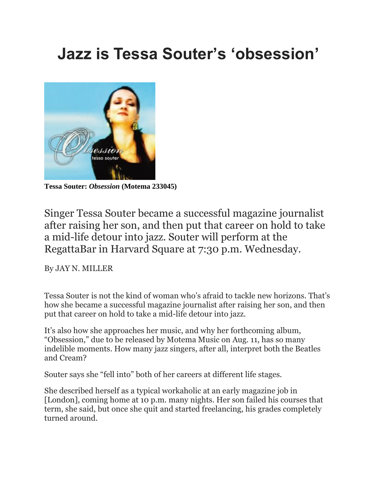## **Jazz is Tessa Souter's 'obsession'**



**Tessa Souter:** *Obsession* **(Motema 233045)**

Singer Tessa Souter became a successful magazine journalist after raising her son, and then put that career on hold to take a mid-life detour into jazz. Souter will perform at the RegattaBar in Harvard Square at 7:30 p.m. Wednesday.

By JAY N. MILLER

Tessa Souter is not the kind of woman who's afraid to tackle new horizons. That's how she became a successful magazine journalist after raising her son, and then put that career on hold to take a mid-life detour into jazz.

It's also how she approaches her music, and why her forthcoming album, "Obsession," due to be released by Motema Music on Aug. 11, has so many indelible moments. How many jazz singers, after all, interpret both the Beatles and Cream?

Souter says she "fell into" both of her careers at different life stages.

She described herself as a typical workaholic at an early magazine job in [London], coming home at 10 p.m. many nights. Her son failed his courses that term, she said, but once she quit and started freelancing, his grades completely turned around.